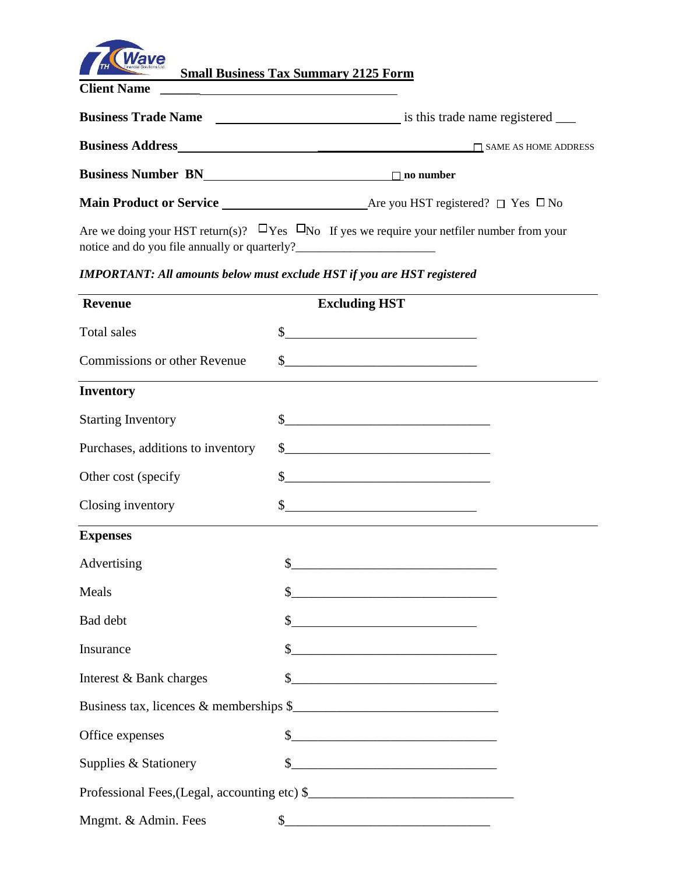

 **Small Business Tax Summary 2125 Form** 

**Client Name** 

**Business Trade Name** is this trade name registered \_\_\_

**Business Address** \_\_\_\_\_\_\_\_\_\_\_\_\_\_\_\_\_\_\_\_\_\_\_\_\_ SAME AS HOME ADDRESS

**Business Number BN no number no number** 

**Main Product or Service \_\_\_\_\_\_\_\_\_\_\_\_\_\_\_\_\_\_\_\_\_\_\_\_**Are you HST registered? □ Yes □ No

Are we doing your HST return(s)?  $\Box$  Yes  $\Box$  No If yes we require your netfiler number from your notice and do you file annually or quarterly?\_\_\_\_\_\_\_\_\_\_\_\_\_\_\_\_\_\_\_\_\_\_\_

*IMPORTANT: All amounts below must exclude HST if you are HST registered*

| <b>Revenue</b>                    | <b>Excluding HST</b>                                                                                                                                                                                                          |  |
|-----------------------------------|-------------------------------------------------------------------------------------------------------------------------------------------------------------------------------------------------------------------------------|--|
| Total sales                       | $\frac{1}{2}$                                                                                                                                                                                                                 |  |
| Commissions or other Revenue      | $\sim$                                                                                                                                                                                                                        |  |
| <b>Inventory</b>                  |                                                                                                                                                                                                                               |  |
| <b>Starting Inventory</b>         | $\frac{1}{2}$                                                                                                                                                                                                                 |  |
| Purchases, additions to inventory | $\frac{1}{2}$                                                                                                                                                                                                                 |  |
| Other cost (specify               | $\frac{1}{2}$                                                                                                                                                                                                                 |  |
| Closing inventory                 | $\frac{1}{2}$                                                                                                                                                                                                                 |  |
| <b>Expenses</b>                   |                                                                                                                                                                                                                               |  |
| Advertising                       | $\frac{\text{S}}{\text{S}}$                                                                                                                                                                                                   |  |
| Meals                             | $\frac{1}{2}$                                                                                                                                                                                                                 |  |
| Bad debt                          | $s$ and $s$ and $s$ and $s$ and $s$ and $s$ and $s$ and $s$ and $s$ and $s$ and $s$ and $s$ and $s$ and $s$ and $s$ and $s$ and $s$ and $s$ and $s$ and $s$ and $s$ and $s$ and $s$ and $s$ and $s$ and $s$ and $s$ and $s$ a |  |
| Insurance                         | $\frac{1}{2}$                                                                                                                                                                                                                 |  |
| Interest & Bank charges           | $\frac{1}{2}$                                                                                                                                                                                                                 |  |
|                                   | Business tax, licences & memberships \$                                                                                                                                                                                       |  |
| Office expenses                   | $\frac{1}{2}$                                                                                                                                                                                                                 |  |
| Supplies & Stationery             | $\frac{1}{2}$                                                                                                                                                                                                                 |  |
|                                   | Professional Fees, (Legal, accounting etc) \$                                                                                                                                                                                 |  |
| Mngmt. & Admin. Fees              | $\mathsf{S}_{-}$                                                                                                                                                                                                              |  |